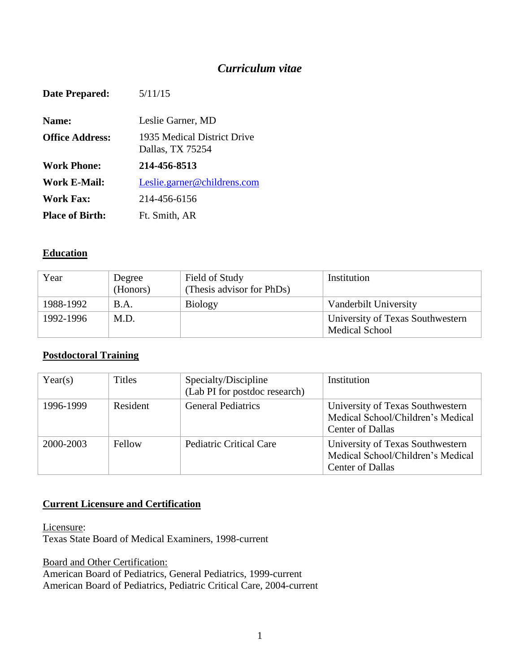# *Curriculum vitae*

| Date Prepared:         | 5/11/15                                         |
|------------------------|-------------------------------------------------|
| Name:                  | Leslie Garner, MD                               |
| <b>Office Address:</b> | 1935 Medical District Drive<br>Dallas, TX 75254 |
| <b>Work Phone:</b>     | 214-456-8513                                    |
| Work E-Mail:           | Leslie.garner@childrens.com                     |
| Work Fax:              | 214-456-6156                                    |
| <b>Place of Birth:</b> | Ft. Smith, AR                                   |

## **Education**

| Year      | Degree<br>(Honors) | Field of Study<br>(Thesis advisor for PhDs) | Institution                                               |
|-----------|--------------------|---------------------------------------------|-----------------------------------------------------------|
| 1988-1992 | B.A.               | <b>Biology</b>                              | Vanderbilt University                                     |
| 1992-1996 | M.D.               |                                             | University of Texas Southwestern<br><b>Medical School</b> |

## **Postdoctoral Training**

| Year(s)   | <b>Titles</b> | Specialty/Discipline<br>(Lab PI for postdoc research) | Institution                                                                                      |
|-----------|---------------|-------------------------------------------------------|--------------------------------------------------------------------------------------------------|
| 1996-1999 | Resident      | <b>General Pediatrics</b>                             | University of Texas Southwestern<br>Medical School/Children's Medical<br><b>Center of Dallas</b> |
| 2000-2003 | Fellow        | <b>Pediatric Critical Care</b>                        | University of Texas Southwestern<br>Medical School/Children's Medical<br><b>Center of Dallas</b> |

## **Current Licensure and Certification**

Licensure: Texas State Board of Medical Examiners, 1998-current

Board and Other Certification: American Board of Pediatrics, General Pediatrics, 1999-current American Board of Pediatrics, Pediatric Critical Care, 2004-current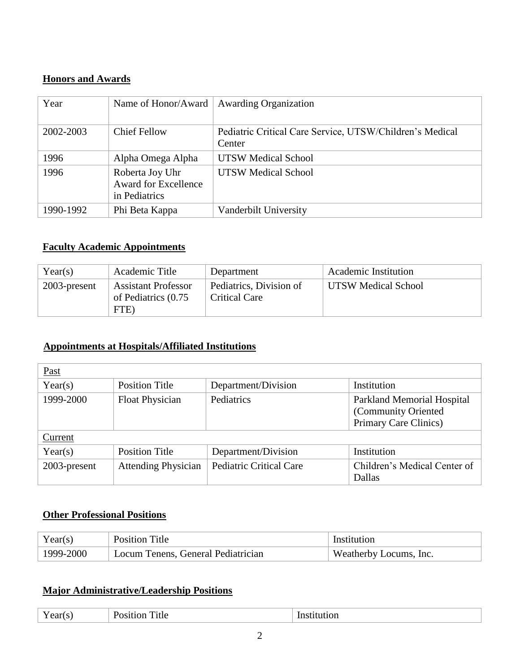# **Honors and Awards**

| Year      | Name of Honor/Award                                             | <b>Awarding Organization</b>                                       |
|-----------|-----------------------------------------------------------------|--------------------------------------------------------------------|
| 2002-2003 | <b>Chief Fellow</b>                                             | Pediatric Critical Care Service, UTSW/Children's Medical<br>Center |
| 1996      | Alpha Omega Alpha                                               | <b>UTSW Medical School</b>                                         |
| 1996      | Roberta Joy Uhr<br><b>Award for Excellence</b><br>in Pediatrics | <b>UTSW Medical School</b>                                         |
| 1990-1992 | Phi Beta Kappa                                                  | Vanderbilt University                                              |

## **Faculty Academic Appointments**

| Year(s)      | Academic Title                                            | Department                                      | Academic Institution       |
|--------------|-----------------------------------------------------------|-------------------------------------------------|----------------------------|
| 2003-present | <b>Assistant Professor</b><br>of Pediatrics (0.75<br>FTE) | Pediatrics, Division of<br><b>Critical Care</b> | <b>UTSW Medical School</b> |

## **Appointments at Hospitals/Affiliated Institutions**

| Past         |                            |                                |                                                                                   |
|--------------|----------------------------|--------------------------------|-----------------------------------------------------------------------------------|
| Year(s)      | <b>Position Title</b>      | Department/Division            | Institution                                                                       |
| 1999-2000    | Float Physician            | Pediatrics                     | <b>Parkland Memorial Hospital</b><br>(Community Oriented<br>Primary Care Clinics) |
| Current      |                            |                                |                                                                                   |
| Year(s)      | <b>Position Title</b>      | Department/Division            | Institution                                                                       |
| 2003-present | <b>Attending Physician</b> | <b>Pediatric Critical Care</b> | Children's Medical Center of<br>Dallas                                            |

# **Other Professional Positions**

| Year(s)   | <b>Position Title</b>              | Institution            |
|-----------|------------------------------------|------------------------|
| 1999-2000 | Locum Tenens, General Pediatrician | Weatherby Locums, Inc. |

## **Major Administrative/Leadership Positions**

| Year(s)<br>. .<br>$1$ $\sigma$ $\sigma$ $\sigma$ | <del>. .</del><br>`itle<br>10 H<br>DS | Institution<br>. |
|--------------------------------------------------|---------------------------------------|------------------|
|--------------------------------------------------|---------------------------------------|------------------|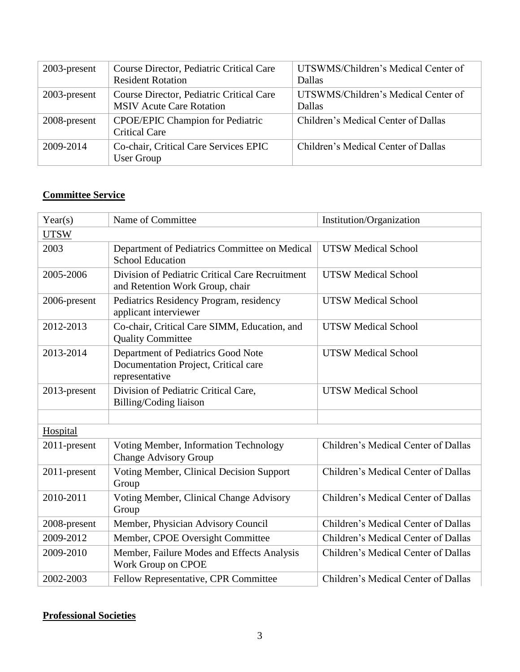| 2003-present | Course Director, Pediatric Critical Care<br><b>Resident Rotation</b>        | UTSWMS/Children's Medical Center of<br>Dallas |
|--------------|-----------------------------------------------------------------------------|-----------------------------------------------|
| 2003-present | Course Director, Pediatric Critical Care<br><b>MSIV Acute Care Rotation</b> | UTSWMS/Children's Medical Center of<br>Dallas |
| 2008-present | <b>CPOE/EPIC Champion for Pediatric</b><br><b>Critical Care</b>             | Children's Medical Center of Dallas           |
| 2009-2014    | Co-chair, Critical Care Services EPIC<br>User Group                         | Children's Medical Center of Dallas           |

# **Committee Service**

| Year(s)      | Name of Committee                                                                            | Institution/Organization            |
|--------------|----------------------------------------------------------------------------------------------|-------------------------------------|
| <b>UTSW</b>  |                                                                                              |                                     |
| 2003         | Department of Pediatrics Committee on Medical<br><b>School Education</b>                     | <b>UTSW Medical School</b>          |
| 2005-2006    | Division of Pediatric Critical Care Recruitment<br>and Retention Work Group, chair           | <b>UTSW Medical School</b>          |
| 2006-present | Pediatrics Residency Program, residency<br>applicant interviewer                             | <b>UTSW Medical School</b>          |
| 2012-2013    | Co-chair, Critical Care SIMM, Education, and<br><b>Quality Committee</b>                     | <b>UTSW Medical School</b>          |
| 2013-2014    | Department of Pediatrics Good Note<br>Documentation Project, Critical care<br>representative | <b>UTSW Medical School</b>          |
| 2013-present | Division of Pediatric Critical Care,<br>Billing/Coding liaison                               | <b>UTSW Medical School</b>          |
| Hospital     |                                                                                              |                                     |
| 2011-present | Voting Member, Information Technology<br><b>Change Advisory Group</b>                        | Children's Medical Center of Dallas |
| 2011-present | <b>Voting Member, Clinical Decision Support</b><br>Group                                     | Children's Medical Center of Dallas |
| 2010-2011    | Voting Member, Clinical Change Advisory<br>Group                                             | Children's Medical Center of Dallas |
| 2008-present | Member, Physician Advisory Council                                                           | Children's Medical Center of Dallas |
| 2009-2012    | Member, CPOE Oversight Committee                                                             | Children's Medical Center of Dallas |
| 2009-2010    | Member, Failure Modes and Effects Analysis<br>Work Group on CPOE                             | Children's Medical Center of Dallas |
| 2002-2003    | Fellow Representative, CPR Committee                                                         | Children's Medical Center of Dallas |

# **Professional Societies**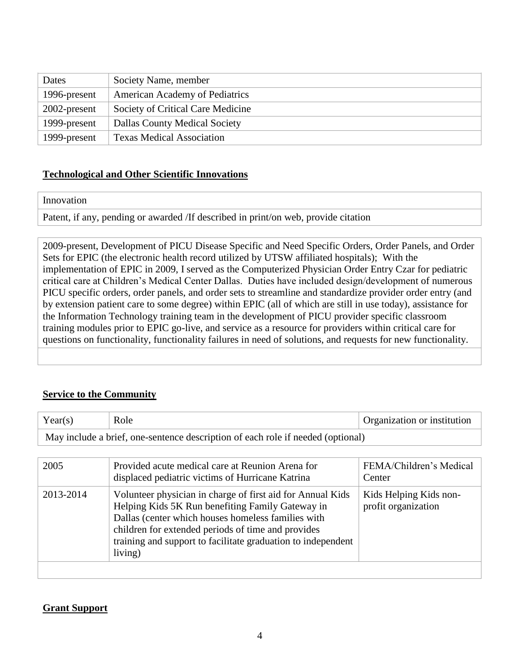| Dates        | Society Name, member                  |
|--------------|---------------------------------------|
| 1996-present | <b>American Academy of Pediatrics</b> |
| 2002-present | Society of Critical Care Medicine     |
| 1999-present | <b>Dallas County Medical Society</b>  |
| 1999-present | <b>Texas Medical Association</b>      |

#### **Technological and Other Scientific Innovations**

#### Innovation

Patent, if any, pending or awarded /If described in print/on web, provide citation

2009-present, Development of PICU Disease Specific and Need Specific Orders, Order Panels, and Order Sets for EPIC (the electronic health record utilized by UTSW affiliated hospitals); With the implementation of EPIC in 2009, I served as the Computerized Physician Order Entry Czar for pediatric critical care at Children's Medical Center Dallas. Duties have included design/development of numerous PICU specific orders, order panels, and order sets to streamline and standardize provider order entry (and by extension patient care to some degree) within EPIC (all of which are still in use today), assistance for the Information Technology training team in the development of PICU provider specific classroom training modules prior to EPIC go-live, and service as a resource for providers within critical care for questions on functionality, functionality failures in need of solutions, and requests for new functionality.

## **Service to the Community**

| Year(s)                                                                         | Role | <b>Organization or institution</b> |
|---------------------------------------------------------------------------------|------|------------------------------------|
| May include a brief, one-sentence description of each role if needed (optional) |      |                                    |

| 2005      | Provided acute medical care at Reunion Arena for<br>displaced pediatric victims of Hurricane Katrina                                                                                                                                                                                                  | FEMA/Children's Medical<br>Center             |
|-----------|-------------------------------------------------------------------------------------------------------------------------------------------------------------------------------------------------------------------------------------------------------------------------------------------------------|-----------------------------------------------|
| 2013-2014 | Volunteer physician in charge of first aid for Annual Kids<br>Helping Kids 5K Run benefiting Family Gateway in<br>Dallas (center which houses homeless families with<br>children for extended periods of time and provides<br>training and support to facilitate graduation to independent<br>living) | Kids Helping Kids non-<br>profit organization |
|           |                                                                                                                                                                                                                                                                                                       |                                               |

## **Grant Support**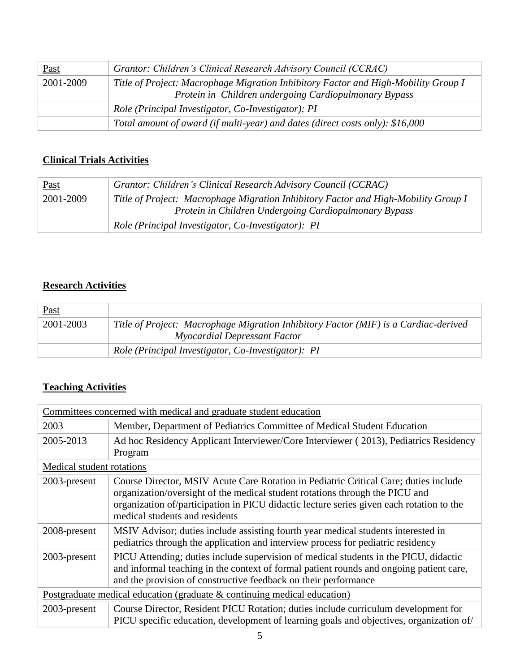| <u>Past</u> | Grantor: Children's Clinical Research Advisory Council (CCRAC)                                                                              |  |
|-------------|---------------------------------------------------------------------------------------------------------------------------------------------|--|
| 2001-2009   | Title of Project: Macrophage Migration Inhibitory Factor and High-Mobility Group I<br>Protein in Children undergoing Cardiopulmonary Bypass |  |
|             | Role (Principal Investigator, Co-Investigator): PI                                                                                          |  |
|             | Total amount of award (if multi-year) and dates (direct costs only): \$16,000                                                               |  |

# **Clinical Trials Activities**

| <u>Past</u> | Grantor: Children's Clinical Research Advisory Council (CCRAC)                     |  |
|-------------|------------------------------------------------------------------------------------|--|
| 2001-2009   | Title of Project: Macrophage Migration Inhibitory Factor and High-Mobility Group I |  |
|             | Protein in Children Undergoing Cardiopulmonary Bypass                              |  |
|             | Role (Principal Investigator, Co-Investigator): PI                                 |  |

# **Research Activities**

| <b>Past</b> |                                                                                                                     |
|-------------|---------------------------------------------------------------------------------------------------------------------|
| 2001-2003   | Title of Project: Macrophage Migration Inhibitory Factor (MIF) is a Cardiac-derived<br>Myocardial Depressant Factor |
|             | Role (Principal Investigator, Co-Investigator): PI                                                                  |

# **Teaching Activities**

|                                                                            | Committees concerned with medical and graduate student education                                                                                                                                                                                                                                   |  |
|----------------------------------------------------------------------------|----------------------------------------------------------------------------------------------------------------------------------------------------------------------------------------------------------------------------------------------------------------------------------------------------|--|
| 2003                                                                       | Member, Department of Pediatrics Committee of Medical Student Education                                                                                                                                                                                                                            |  |
| 2005-2013                                                                  | Ad hoc Residency Applicant Interviewer/Core Interviewer (2013), Pediatrics Residency<br>Program                                                                                                                                                                                                    |  |
| Medical student rotations                                                  |                                                                                                                                                                                                                                                                                                    |  |
| 2003-present                                                               | Course Director, MSIV Acute Care Rotation in Pediatric Critical Care; duties include<br>organization/oversight of the medical student rotations through the PICU and<br>organization of/participation in PICU didactic lecture series given each rotation to the<br>medical students and residents |  |
| 2008-present                                                               | MSIV Advisor; duties include assisting fourth year medical students interested in<br>pediatrics through the application and interview process for pediatric residency                                                                                                                              |  |
| 2003-present                                                               | PICU Attending; duties include supervision of medical students in the PICU, didactic<br>and informal teaching in the context of formal patient rounds and ongoing patient care,<br>and the provision of constructive feedback on their performance                                                 |  |
| Postgraduate medical education (graduate $&$ continuing medical education) |                                                                                                                                                                                                                                                                                                    |  |
| 2003-present                                                               | Course Director, Resident PICU Rotation; duties include curriculum development for<br>PICU specific education, development of learning goals and objectives, organization of                                                                                                                       |  |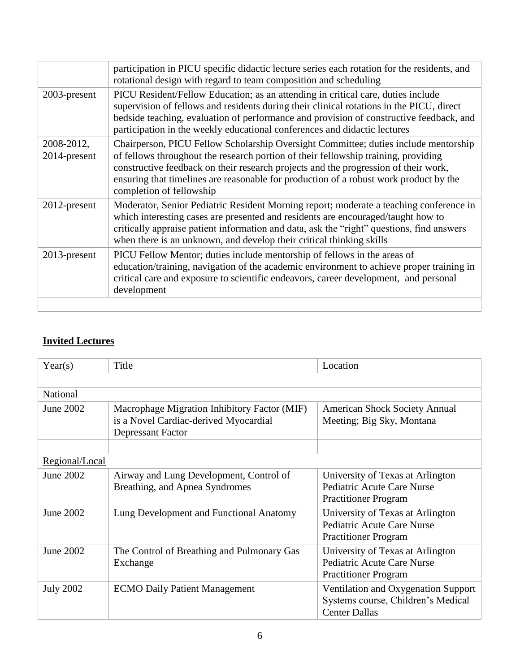|                            | participation in PICU specific didactic lecture series each rotation for the residents, and<br>rotational design with regard to team composition and scheduling                                                                                                                                                                                                                       |
|----------------------------|---------------------------------------------------------------------------------------------------------------------------------------------------------------------------------------------------------------------------------------------------------------------------------------------------------------------------------------------------------------------------------------|
| 2003-present               | PICU Resident/Fellow Education; as an attending in critical care, duties include<br>supervision of fellows and residents during their clinical rotations in the PICU, direct<br>bedside teaching, evaluation of performance and provision of constructive feedback, and<br>participation in the weekly educational conferences and didactic lectures                                  |
| 2008-2012,<br>2014-present | Chairperson, PICU Fellow Scholarship Oversight Committee; duties include mentorship<br>of fellows throughout the research portion of their fellowship training, providing<br>constructive feedback on their research projects and the progression of their work,<br>ensuring that timelines are reasonable for production of a robust work product by the<br>completion of fellowship |
| $2012$ -present            | Moderator, Senior Pediatric Resident Morning report; moderate a teaching conference in<br>which interesting cases are presented and residents are encouraged/taught how to<br>critically appraise patient information and data, ask the "right" questions, find answers<br>when there is an unknown, and develop their critical thinking skills                                       |
| $2013$ -present            | PICU Fellow Mentor; duties include mentorship of fellows in the areas of<br>education/training, navigation of the academic environment to achieve proper training in<br>critical care and exposure to scientific endeavors, career development, and personal<br>development                                                                                                           |
|                            |                                                                                                                                                                                                                                                                                                                                                                                       |

# **Invited Lectures**

| Year(s)          | Title                                                                                                      | Location                                                                                          |
|------------------|------------------------------------------------------------------------------------------------------------|---------------------------------------------------------------------------------------------------|
|                  |                                                                                                            |                                                                                                   |
| National         |                                                                                                            |                                                                                                   |
| June 2002        | Macrophage Migration Inhibitory Factor (MIF)<br>is a Novel Cardiac-derived Myocardial<br>Depressant Factor | <b>American Shock Society Annual</b><br>Meeting; Big Sky, Montana                                 |
|                  |                                                                                                            |                                                                                                   |
| Regional/Local   |                                                                                                            |                                                                                                   |
| June 2002        | Airway and Lung Development, Control of<br>Breathing, and Apnea Syndromes                                  | University of Texas at Arlington<br>Pediatric Acute Care Nurse<br><b>Practitioner Program</b>     |
| June 2002        | Lung Development and Functional Anatomy                                                                    | University of Texas at Arlington<br>Pediatric Acute Care Nurse<br><b>Practitioner Program</b>     |
| June 2002        | The Control of Breathing and Pulmonary Gas<br>Exchange                                                     | University of Texas at Arlington<br>Pediatric Acute Care Nurse<br><b>Practitioner Program</b>     |
| <b>July 2002</b> | <b>ECMO Daily Patient Management</b>                                                                       | Ventilation and Oxygenation Support<br>Systems course, Children's Medical<br><b>Center Dallas</b> |